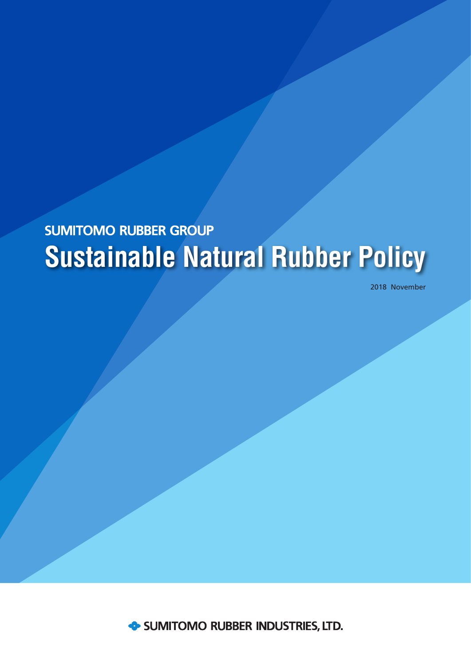# **SUMITOMO RUBBER GROUP Sustainable Natural Rubber Policy**

2018 November

SUMITOMO RUBBER INDUSTRIES, LTD.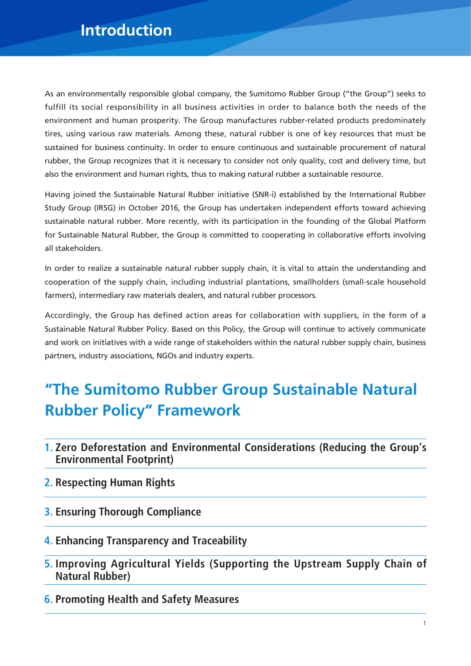### **Introduction**

As an environmentally responsible global company, the Sumitomo Rubber Group ("the Group") seeks to fulfill its social responsibility in all business activities in order to balance both the needs of the environment and human prosperity. The Group manufactures rubber-related products predominately tires, using various raw materials. Among these, natural rubber is one of key resources that must be sustained for business continuity. In order to ensure continuous and sustainable procurement of natural rubber, the Group recognizes that it is necessary to consider not only quality, cost and delivery time, but also the environment and human rights, thus to making natural rubber a sustainable resource.

Having joined the Sustainable Natural Rubber initiative (SNR-i) established by the International Rubber Study Group (IRSG) in October 2016, the Group has undertaken independent efforts toward achieving sustainable natural rubber. More recently, with its participation in the founding of the Global Platform for Sustainable Natural Rubber, the Group is committed to cooperating in collaborative efforts involving all stakeholders.

In order to realize a sustainable natural rubber supply chain, it is vital to attain the understanding and cooperation of the supply chain, including industrial plantations, smallholders (small-scale household farmers), intermediary raw materials dealers, and natural rubber processors.

Accordingly, the Group has defined action areas for collaboration with suppliers, in the form of a Sustainable Natural Rubber Policy. Based on this Policy, the Group will continue to actively communicate and work on initiatives with a wide range of stakeholders within the natural rubber supply chain, business partners, industry associations, NGOs and industry experts.

### **"The Sumitomo Rubber Group Sustainable Natural Rubber Policy" Framework**

- **1. Zero Deforestation and Environmental Considerations (Reducing the Group's Environmental Footprint)**
- **2. Respecting Human Rights**
- **3. Ensuring Thorough Compliance**
- **4. Enhancing Transparency and Traceability**
- **5. Improving Agricultural Yields (Supporting the Upstream Supply Chain of Natural Rubber)**
- **6. Promoting Health and Safety Measures**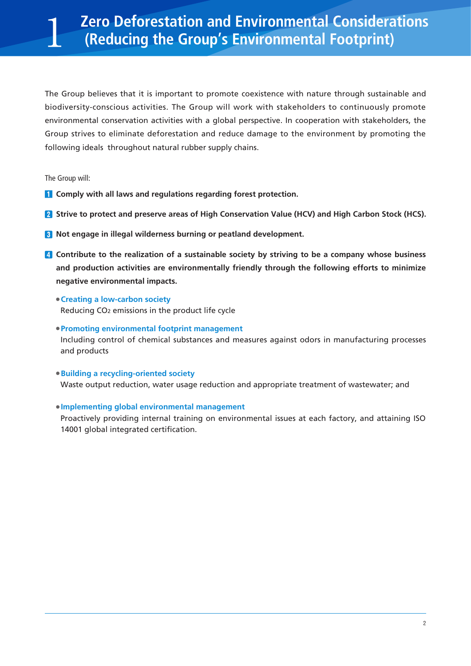The Group believes that it is important to promote coexistence with nature through sustainable and biodiversity-conscious activities. The Group will work with stakeholders to continuously promote environmental conservation activities with a global perspective. In cooperation with stakeholders, the Group strives to eliminate deforestation and reduce damage to the environment by promoting the following ideals throughout natural rubber supply chains.

The Group will:

- **T** Comply with all laws and regulations regarding forest protection.
- **2** Strive to protect and preserve areas of High Conservation Value (HCV) and High Carbon Stock (HCS).
- **8** Not engage in illegal wilderness burning or peatland development.
- **Contribute to the realization of a sustainable society by striving to be a company whose business and production activities are environmentally friendly through the following efforts to minimize negative environmental impacts.** 
	- **Creating a low-carbon society**

Reducing CO2 emissions in the product life cycle

- **Promoting environmental footprint management** Including control of chemical substances and measures against odors in manufacturing processes and products
- **Building a recycling-oriented society** Waste output reduction, water usage reduction and appropriate treatment of wastewater; and

### **Implementing global environmental management**

Proactively providing internal training on environmental issues at each factory, and attaining ISO 14001 global integrated certification.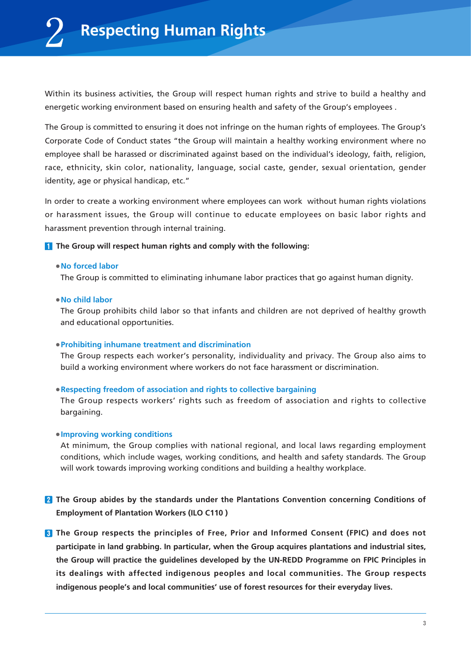Within its business activities, the Group will respect human rights and strive to build a healthy and energetic working environment based on ensuring health and safety of the Group's employees .

The Group is committed to ensuring it does not infringe on the human rights of employees. The Group's Corporate Code of Conduct states "the Group will maintain a healthy working environment where no employee shall be harassed or discriminated against based on the individual's ideology, faith, religion, race, ethnicity, skin color, nationality, language, social caste, gender, sexual orientation, gender identity, age or physical handicap, etc."

In order to create a working environment where employees can work without human rights violations or harassment issues, the Group will continue to educate employees on basic labor rights and harassment prevention through internal training.

### **T** The Group will respect human rights and comply with the following:

### **No forced labor**

The Group is committed to eliminating inhumane labor practices that go against human dignity.

### **No child labor**

The Group prohibits child labor so that infants and children are not deprived of healthy growth and educational opportunities.

### **Prohibiting inhumane treatment and discrimination**

The Group respects each worker's personality, individuality and privacy. The Group also aims to build a working environment where workers do not face harassment or discrimination.

### **Respecting freedom of association and rights to collective bargaining**

The Group respects workers' rights such as freedom of association and rights to collective bargaining.

### **Improving working conditions**

At minimum, the Group complies with national regional, and local laws regarding employment conditions, which include wages, working conditions, and health and safety standards. The Group will work towards improving working conditions and building a healthy workplace.

- **The Group abides by the standards under the Plantations Convention concerning Conditions of Employment of Plantation Workers (ILO C110 )**
- **The Group respects the principles of Free, Prior and Informed Consent (FPIC) and does not participate in land grabbing. In particular, when the Group acquires plantations and industrial sites, the Group will practice the guidelines developed by the UN-REDD Programme on FPIC Principles in its dealings with affected indigenous peoples and local communities. The Group respects indigenous people's and local communities' use of forest resources for their everyday lives.**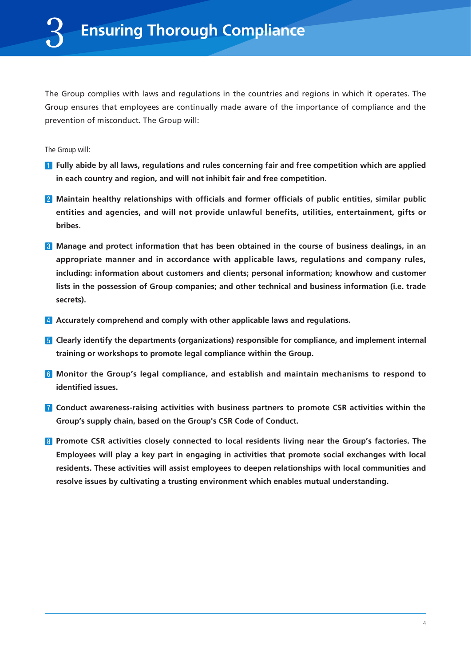The Group complies with laws and regulations in the countries and regions in which it operates. The Group ensures that employees are continually made aware of the importance of compliance and the prevention of misconduct. The Group will:

The Group will:

- **Fully abide by all laws, regulations and rules concerning fair and free competition which are applied in each country and region, and will not inhibit fair and free competition.**
- **2** Maintain healthy relationships with officials and former officials of public entities, similar public **entities and agencies, and will not provide unlawful benefits, utilities, entertainment, gifts or bribes.**
- **Manage and protect information that has been obtained in the course of business dealings, in an appropriate manner and in accordance with applicable laws, regulations and company rules, including: information about customers and clients; personal information; knowhow and customer lists in the possession of Group companies; and other technical and business information (i.e. trade secrets).**
- **Accurately comprehend and comply with other applicable laws and regulations.**
- **F** Clearly identify the departments (organizations) responsible for compliance, and implement internal **training or workshops to promote legal compliance within the Group.**
- **Monitor the Group's legal compliance, and establish and maintain mechanisms to respond to identified issues.**
- **Conduct awareness-raising activities with business partners to promote CSR activities within the Group's supply chain, based on the Group's CSR Code of Conduct.**
- **Promote CSR activities closely connected to local residents living near the Group's factories. The Employees will play a key part in engaging in activities that promote social exchanges with local residents. These activities will assist employees to deepen relationships with local communities and resolve issues by cultivating a trusting environment which enables mutual understanding.**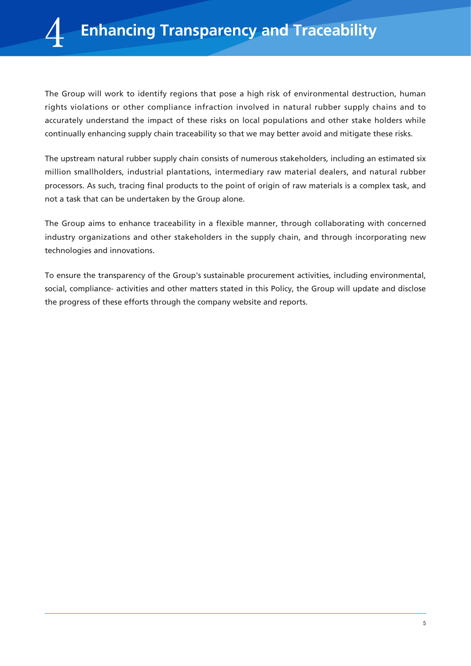The Group will work to identify regions that pose a high risk of environmental destruction, human rights violations or other compliance infraction involved in natural rubber supply chains and to accurately understand the impact of these risks on local populations and other stake holders while continually enhancing supply chain traceability so that we may better avoid and mitigate these risks.

The upstream natural rubber supply chain consists of numerous stakeholders, including an estimated six million smallholders, industrial plantations, intermediary raw material dealers, and natural rubber processors. As such, tracing final products to the point of origin of raw materials is a complex task, and not a task that can be undertaken by the Group alone.

The Group aims to enhance traceability in a flexible manner, through collaborating with concerned industry organizations and other stakeholders in the supply chain, and through incorporating new technologies and innovations.

To ensure the transparency of the Group's sustainable procurement activities, including environmental, social, compliance- activities and other matters stated in this Policy, the Group will update and disclose the progress of these efforts through the company website and reports.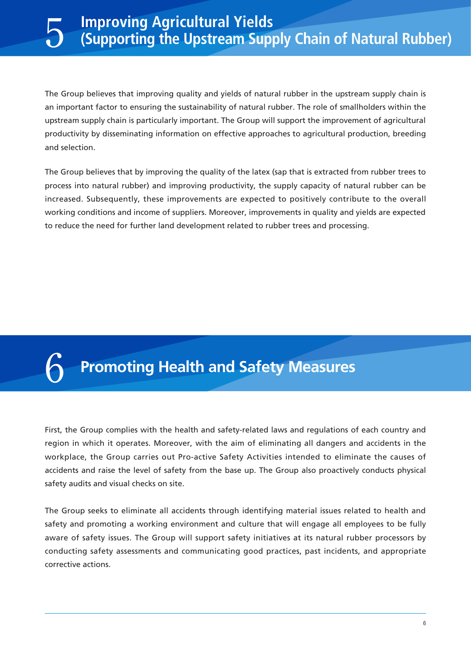### **Improving Agricultural Yields (Supporting the Upstream Supply Chain of Natural Rubber)**

The Group believes that improving quality and yields of natural rubber in the upstream supply chain is an important factor to ensuring the sustainability of natural rubber. The role of smallholders within the upstream supply chain is particularly important. The Group will support the improvement of agricultural productivity by disseminating information on effective approaches to agricultural production, breeding and selection.

The Group believes that by improving the quality of the latex (sap that is extracted from rubber trees to process into natural rubber) and improving productivity, the supply capacity of natural rubber can be increased. Subsequently, these improvements are expected to positively contribute to the overall working conditions and income of suppliers. Moreover, improvements in quality and yields are expected to reduce the need for further land development related to rubber trees and processing.

## **Promoting Health and Safety Measures**

First, the Group complies with the health and safety-related laws and regulations of each country and region in which it operates. Moreover, with the aim of eliminating all dangers and accidents in the workplace, the Group carries out Pro-active Safety Activities intended to eliminate the causes of accidents and raise the level of safety from the base up. The Group also proactively conducts physical safety audits and visual checks on site.

The Group seeks to eliminate all accidents through identifying material issues related to health and safety and promoting a working environment and culture that will engage all employees to be fully aware of safety issues. The Group will support safety initiatives at its natural rubber processors by conducting safety assessments and communicating good practices, past incidents, and appropriate corrective actions.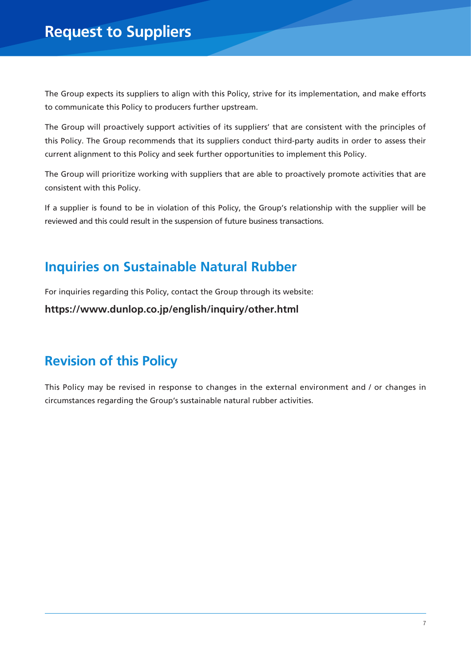The Group expects its suppliers to align with this Policy, strive for its implementation, and make efforts to communicate this Policy to producers further upstream.

The Group will proactively support activities of its suppliers' that are consistent with the principles of this Policy. The Group recommends that its suppliers conduct third-party audits in order to assess their current alignment to this Policy and seek further opportunities to implement this Policy.

The Group will prioritize working with suppliers that are able to proactively promote activities that are consistent with this Policy.

If a supplier is found to be in violation of this Policy, the Group's relationship with the supplier will be reviewed and this could result in the suspension of future business transactions.

### **Inquiries on Sustainable Natural Rubber**

For inquiries regarding this Policy, contact the Group through its website:

**https://www.dunlop.co.jp/english/inquiry/other.html**

### **Revision of this Policy**

This Policy may be revised in response to changes in the external environment and / or changes in circumstances regarding the Group's sustainable natural rubber activities.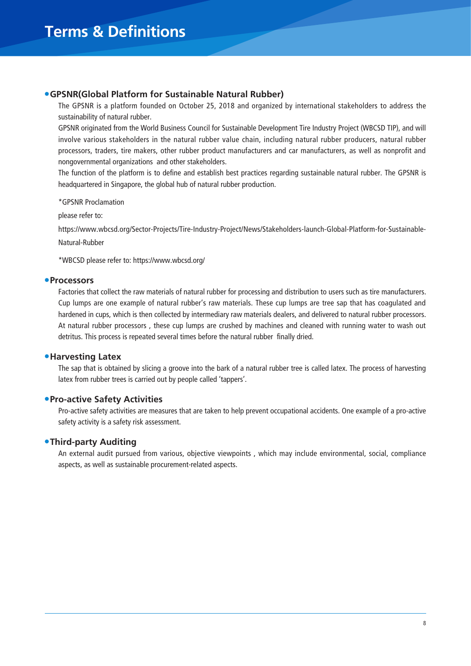### **GPSNR(Global Platform for Sustainable Natural Rubber)**

The GPSNR is a platform founded on October 25, 2018 and organized by international stakeholders to address the sustainability of natural rubber.

GPSNR originated from the World Business Council for Sustainable Development Tire Industry Project (WBCSD TIP), and will involve various stakeholders in the natural rubber value chain, including natural rubber producers, natural rubber processors, traders, tire makers, other rubber product manufacturers and car manufacturers, as well as nonprofit and nongovernmental organizations and other stakeholders.

The function of the platform is to define and establish best practices regarding sustainable natural rubber. The GPSNR is headquartered in Singapore, the global hub of natural rubber production.

\*GPSNR Proclamation

please refer to:

https://www.wbcsd.org/Sector-Projects/Tire-Industry-Project/News/Stakeholders-launch-Global-Platform-for-Sustainable-

Natural-Rubber

\*WBCSD please refer to: https://www.wbcsd.org/

### **Processors**

Factories that collect the raw materials of natural rubber for processing and distribution to users such as tire manufacturers. Cup lumps are one example of natural rubber's raw materials. These cup lumps are tree sap that has coagulated and hardened in cups, which is then collected by intermediary raw materials dealers, and delivered to natural rubber processors. At natural rubber processors , these cup lumps are crushed by machines and cleaned with running water to wash out detritus. This process is repeated several times before the natural rubber finally dried.

### **Harvesting Latex**

The sap that is obtained by slicing a groove into the bark of a natural rubber tree is called latex. The process of harvesting latex from rubber trees is carried out by people called 'tappers'.

### **Pro-active Safety Activities**

Pro-active safety activities are measures that are taken to help prevent occupational accidents. One example of a pro-active safety activity is a safety risk assessment.

### **Third-party Auditing**

An external audit pursued from various, objective viewpoints , which may include environmental, social, compliance aspects, as well as sustainable procurement-related aspects.